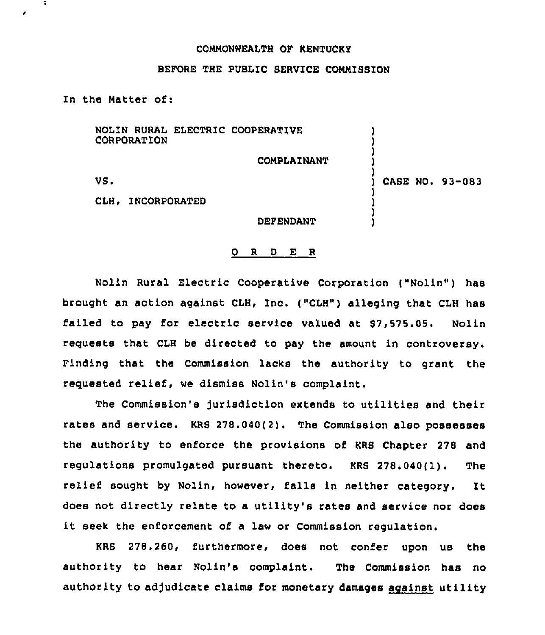## COMMONWEALTH OF KENTUCKY

## BEFORE THE PUBLIC SERVICE COMMISSION

In the Matter of:

÷

NOLIN RURAL ELECTRIC COOPERATIVE CORPORATION

COMPLAINANT

VS.

) CASE NO. 93-083

) ) ) ) )

) ) ) )

CLH, INCORPORATED

DEFENDANT

## 0 <sup>R</sup> <sup>D</sup> E <sup>R</sup>

Nolin Rural Electric Cooperative Corporation ("Nolin") has brought an action against CLH, Inc. ("CLH") alleging that CLH has failed to pay for electric service valued at \$7,575.05. Nolin requests that CLH be directed to pay the amount in controversy. Finding that the Commission lacks the authority to grant the requested relief, we dismiss Nolin's complaint.

The Commission's Jurisdiction extends to utilities and their rates and service. KRS  $278.040(2)$ . The Commission also possesses the authority to enforce the provisions of KRS Chapter 278 and regulations promulgated pursuant thereto. KRS 278.040(1). The relief sought by Nolin, however, falls in neither category. It does not directly relate to a utility's rates and service nor does it seek the enforcement of a law or Commission regulation.

KRS 278.260, furthermore, does not confer upon us the authority to hear Nolin's complaint. The Commission has no authority to adjudicate claims for monetary damages against utility